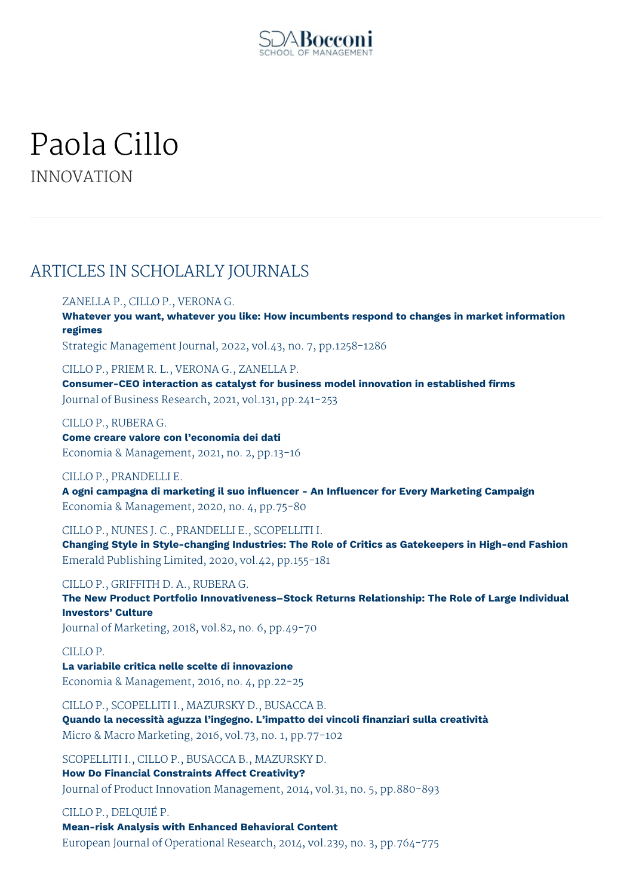

# Paola Cillo INNOVATION

# ARTICLES IN SCHOLARLY JOURNALS

# ZANELLA P., CILLO P., VERONA G.

**Whatever you want, whatever you like: How incumbents respond to changes in market information regimes**

Strategic Management Journal, 2022, vol.43, no. 7, pp.1258-1286

CILLO P., PRIEM R. L., VERONA G., ZANELLA P. **Consumer-CEO interaction as catalyst for business model innovation in established firms** Journal of Business Research, 2021, vol.131, pp.241-253

CILLO P., RUBERA G. **Come creare valore con l'economia dei dati** Economia & Management, 2021, no. 2, pp.13-16

CILLO P., PRANDELLI E. **A ogni campagna di marketing il suo influencer - An Influencer for Every Marketing Campaign** Economia & Management, 2020, no. 4, pp.75-80

CILLO P., NUNES J. C., PRANDELLI E., SCOPELLITI I.

**Changing Style in Style-changing Industries: The Role of Critics as Gatekeepers in High-end Fashion** Emerald Publishing Limited, 2020, vol.42, pp.155-181

CILLO P., GRIFFITH D. A., RUBERA G. **The New Product Portfolio Innovativeness–Stock Returns Relationship: The Role of Large Individual Investors' Culture** Journal of Marketing, 2018, vol.82, no. 6, pp.49-70

CILLO P.

**La variabile critica nelle scelte di innovazione** Economia & Management, 2016, no. 4, pp.22-25

CILLO P., SCOPELLITI I., MAZURSKY D., BUSACCA B. **Quando la necessità aguzza l'ingegno. L'impatto dei vincoli finanziari sulla creatività** Micro & Macro Marketing, 2016, vol.73, no. 1, pp.77-102

SCOPELLITI I., CILLO P., BUSACCA B., MAZURSKY D. **How Do Financial Constraints Affect Creativity?** Journal of Product Innovation Management, 2014, vol.31, no. 5, pp.880-893

CILLO P., DELQUIÉ P.

**Mean-risk Analysis with Enhanced Behavioral Content** European Journal of Operational Research, 2014, vol.239, no. 3, pp.764-775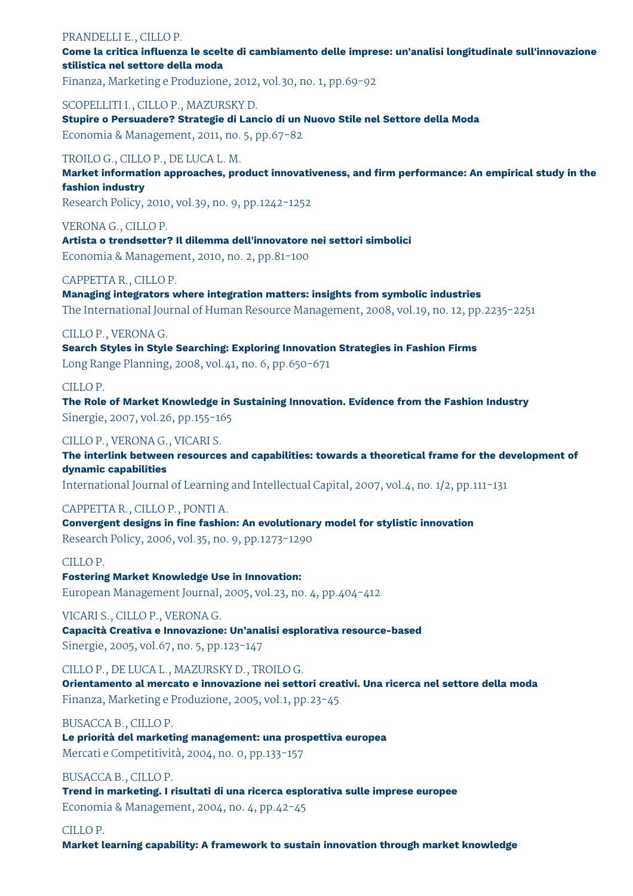# PRANDELLI E., CILLO P.

**Come la critica influenza le scelte di cambiamento delle imprese: un'analisi longitudinale sull'innovazione stilistica nel settore della moda**

Finanza, Marketing e Produzione, 2012, vol.30, no. 1, pp.69-92

# SCOPELLITI I., CILLO P., MAZURSKY D.

**Stupire o Persuadere? Strategie di Lancio di un Nuovo Stile nel Settore della Moda** Economia & Management, 2011, no. 5, pp.67-82

# TROILO G., CILLO P., DE LUCA L. M.

**Market information approaches, product innovativeness, and firm performance: An empirical study in the fashion industry**

Research Policy, 2010, vol.39, no. 9, pp.1242-1252

VERONA G., CILLO P. **Artista o trendsetter? Il dilemma dell'innovatore nei settori simbolici** Economia & Management, 2010, no. 2, pp.81-100

# CAPPETTA R., CILLO P.

**Managing integrators where integration matters: insights from symbolic industries** The International Journal of Human Resource Management, 2008, vol.19, no. 12, pp.2235-2251

# CILLO P., VERONA G.

**Search Styles in Style Searching: Exploring Innovation Strategies in Fashion Firms** Long Range Planning, 2008, vol.41, no. 6, pp.650-671

# CILLO P.

**The Role of Market Knowledge in Sustaining Innovation. Evidence from the Fashion Industry** Sinergie, 2007, vol.26, pp.155-165

# CILLO P., VERONA G., VICARI S.

**The interlink between resources and capabilities: towards a theoretical frame for the development of dynamic capabilities**

International Journal of Learning and Intellectual Capital, 2007, vol.4, no. 1/2, pp.111-131

# CAPPETTA R., CILLO P., PONTI A.

**Convergent designs in fine fashion: An evolutionary model for stylistic innovation** Research Policy, 2006, vol.35, no. 9, pp.1273-1290

#### CILLO P.

# **Fostering Market Knowledge Use in Innovation:**

European Management Journal, 2005, vol.23, no. 4, pp.404-412

# VICARI S., CILLO P., VERONA G.

**Capacità Creativa e Innovazione: Un'analisi esplorativa resource-based** Sinergie, 2005, vol.67, no. 5, pp.123-147

# CILLO P., DE LUCA L., MAZURSKY D., TROILO G.

**Orientamento al mercato e innovazione nei settori creativi. Una ricerca nel settore della moda** Finanza, Marketing e Produzione, 2005, vol.1, pp.23-45

#### BUSACCA B., CILLO P.

**Le priorità del marketing management: una prospettiva europea** Mercati e Competitività, 2004, no. 0, pp.133-157

# BUSACCA B., CILLO P.

**Trend in marketing. I risultati di una ricerca esplorativa sulle imprese europee** Economia & Management, 2004, no. 4, pp.42-45

#### CILLO P.

**Market learning capability: A framework to sustain innovation through market knowledge**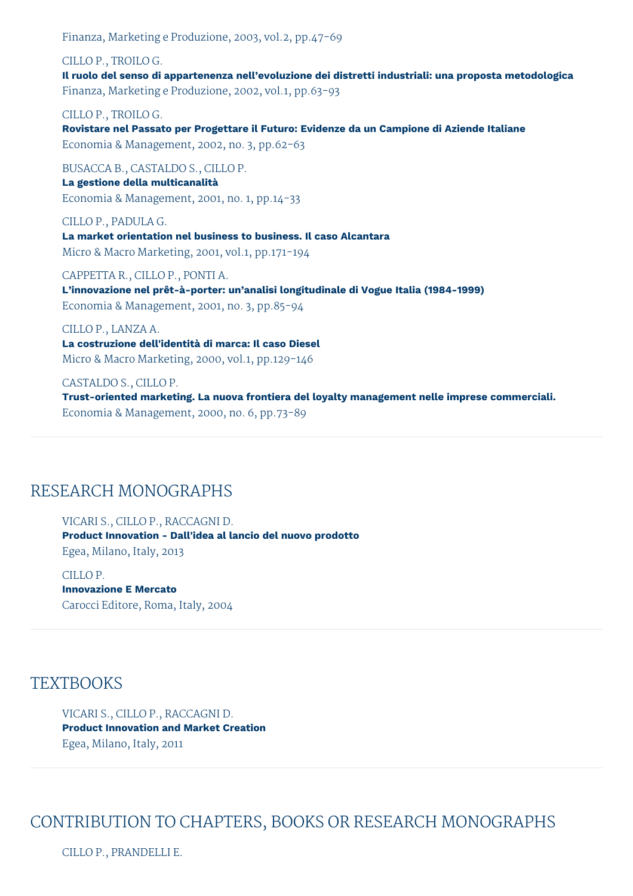Finanza, Marketing e Produzione, 2003, vol.2, pp.47-69

CILLO P., TROILO G. **Il ruolo del senso di appartenenza nell'evoluzione dei distretti industriali: una proposta metodologica** Finanza, Marketing e Produzione, 2002, vol.1, pp.63-93

CILLO P., TROILO G. **Rovistare nel Passato per Progettare il Futuro: Evidenze da un Campione di Aziende Italiane** Economia & Management, 2002, no. 3, pp.62-63

BUSACCA B., CASTALDO S., CILLO P. **La gestione della multicanalità** Economia & Management, 2001, no. 1, pp.14-33

CILLO P., PADULA G. **La market orientation nel business to business. Il caso Alcantara** Micro & Macro Marketing, 2001, vol.1, pp.171-194

CAPPETTA R., CILLO P., PONTI A. **L'innovazione nel prêt-à-porter: un'analisi longitudinale di Vogue Italia (1984-1999)** Economia & Management, 2001, no. 3, pp.85-94

CILLO P., LANZA A. **La costruzione dell'identità di marca: Il caso Diesel** Micro & Macro Marketing, 2000, vol.1, pp.129-146

CASTALDO S., CILLO P. **Trust-oriented marketing. La nuova frontiera del loyalty management nelle imprese commerciali.** Economia & Management, 2000, no. 6, pp.73-89

# RESEARCH MONOGRAPHS

VICARI S., CILLO P., RACCAGNI D. **Product Innovation - Dall'idea al lancio del nuovo prodotto** Egea, Milano, Italy, 2013

CILLO P. **Innovazione E Mercato** Carocci Editore, Roma, Italy, 2004

# **TEXTBOOKS**

VICARI S., CILLO P., RACCAGNI D. **Product Innovation and Market Creation** Egea, Milano, Italy, 2011

CONTRIBUTION TO CHAPTERS, BOOKS OR RESEARCH MONOGRAPHS

CILLO P., PRANDELLI E.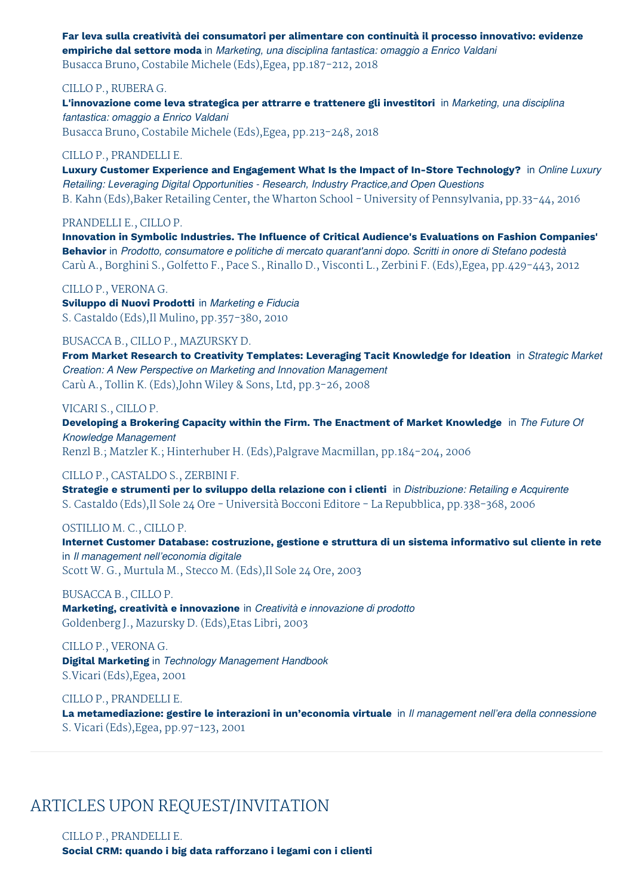**Far leva sulla creatività dei consumatori per alimentare con continuità il processo innovativo: evidenze empiriche dal settore moda** in *Marketing, una disciplina fantastica: omaggio a Enrico Valdani* Busacca Bruno, Costabile Michele (Eds),Egea, pp.187-212, 2018

#### CILLO P., RUBERA G.

**L'innovazione come leva strategica per attrarre e trattenere gli investitori** in *Marketing, una disciplina fantastica: omaggio a Enrico Valdani* Busacca Bruno, Costabile Michele (Eds),Egea, pp.213-248, 2018

#### CILLO P., PRANDELLI E.

**Luxury Customer Experience and Engagement What Is the Impact of In-Store Technology?** in *Online Luxury Retailing: Leveraging Digital Opportunities - Research, Industry Practice,and Open Questions* B. Kahn (Eds),Baker Retailing Center, the Wharton School - University of Pennsylvania, pp.33-44, 2016

#### PRANDELLI E., CILLO P.

**Innovation in Symbolic Industries. The Influence of Critical Audience's Evaluations on Fashion Companies' Behavior** in *Prodotto, consumatore e politiche di mercato quarant'anni dopo. Scritti in onore di Stefano podestà* Carù A., Borghini S., Golfetto F., Pace S., Rinallo D., Visconti L., Zerbini F. (Eds),Egea, pp.429-443, 2012

#### CILLO P., VERONA G.

**Sviluppo di Nuovi Prodotti** in *Marketing e Fiducia* S. Castaldo (Eds),Il Mulino, pp.357-380, 2010

BUSACCA B., CILLO P., MAZURSKY D.

**From Market Research to Creativity Templates: Leveraging Tacit Knowledge for Ideation** in *Strategic Market Creation: A New Perspective on Marketing and Innovation Management* Carù A., Tollin K. (Eds),John Wiley & Sons, Ltd, pp.3-26, 2008

#### VICARI S., CILLO P.

**Developing a Brokering Capacity within the Firm. The Enactment of Market Knowledge** in *The Future Of Knowledge Management*

Renzl B.; Matzler K.; Hinterhuber H. (Eds),Palgrave Macmillan, pp.184-204, 2006

# CILLO P., CASTALDO S., ZERBINI F.

**Strategie e strumenti per lo sviluppo della relazione con i clienti** in *Distribuzione: Retailing e Acquirente* S. Castaldo (Eds),Il Sole 24 Ore - Università Bocconi Editore - La Repubblica, pp.338-368, 2006

#### OSTILLIO M. C., CILLO P.

**Internet Customer Database: costruzione, gestione e struttura di un sistema informativo sul cliente in rete** in *Il management nell'economia digitale*

Scott W. G., Murtula M., Stecco M. (Eds),Il Sole 24 Ore, 2003

# BUSACCA B., CILLO P.

**Marketing, creatività e innovazione** in *Creatività e innovazione di prodotto* Goldenberg J., Mazursky D. (Eds),Etas Libri, 2003

# CILLO P., VERONA G.

**Digital Marketing** in *Technology Management Handbook* S.Vicari (Eds),Egea, 2001

#### CILLO P., PRANDELLI E.

**La metamediazione: gestire le interazioni in un'economia virtuale** in *Il management nell'era della connessione* S. Vicari (Eds),Egea, pp.97-123, 2001

# ARTICLES UPON REQUEST/INVITATION

# CILLO P., PRANDELLI E.

**Social CRM: quando i big data rafforzano i legami con i clienti**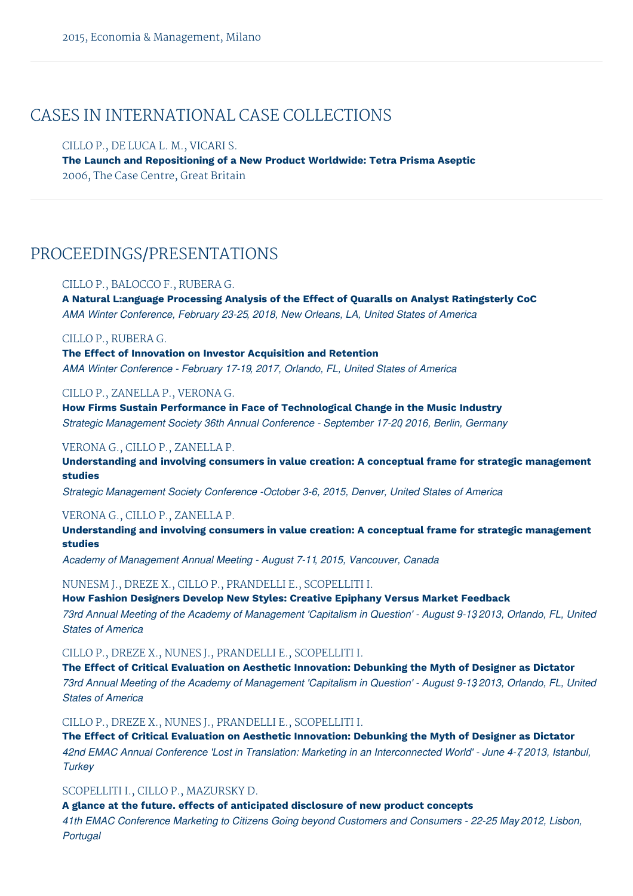# CASES IN INTERNATIONAL CASE COLLECTIONS

CILLO P., DE LUCA L. M., VICARI S. **The Launch and Repositioning of a New Product Worldwide: Tetra Prisma Aseptic** 2006, The Case Centre, Great Britain

# PROCEEDINGS/PRESENTATIONS

#### CILLO P., BALOCCO F., RUBERA G.

**A Natural L:anguage Processing Analysis of the Effect of Quaralls on Analyst Ratingsterly CoC** *AMA Winter Conference, February 23-25, 2018, New Orleans, LA, United States of America*

#### CILLO P., RUBERA G.

**The Effect of Innovation on Investor Acquisition and Retention** *AMA Winter Conference - February 17-19, 2017, Orlando, FL, United States of America*

#### CILLO P., ZANELLA P., VERONA G.

**How Firms Sustain Performance in Face of Technological Change in the Music Industry** *Strategic Management Society 36th Annual Conference - September 17-20, 2016, Berlin, Germany*

## VERONA G., CILLO P., ZANELLA P.

**Understanding and involving consumers in value creation: A conceptual frame for strategic management studies**

*Strategic Management Society Conference -October 3-6, 2015, Denver, United States of America*

# VERONA G., CILLO P., ZANELLA P.

**Understanding and involving consumers in value creation: A conceptual frame for strategic management studies**

*Academy of Management Annual Meeting - August 7-11, 2015, Vancouver, Canada*

#### NUNESM J., DREZE X., CILLO P., PRANDELLI E., SCOPELLITI I.

# **How Fashion Designers Develop New Styles: Creative Epiphany Versus Market Feedback**

73rd Annual Meeting of the Academy of Management 'Capitalism in Question' - August 9-132013, Orlando. FL. United *States of America*

CILLO P., DREZE X., NUNES J., PRANDELLI E., SCOPELLITI I.

**The Effect of Critical Evaluation on Aesthetic Innovation: Debunking the Myth of Designer as Dictator** 73rd Annual Meeting of the Academy of Management 'Capitalism in Question' - August 9-132013, Orlando, FL, United *States of America*

#### CILLO P., DREZE X., NUNES J., PRANDELLI E., SCOPELLITI I.

**The Effect of Critical Evaluation on Aesthetic Innovation: Debunking the Myth of Designer as Dictator** 42nd EMAC Annual Conference 'Lost in Translation: Marketing in an Interconnected World' - June 4-7 2013, Istanbul, *Turkey*

# SCOPELLITI I., CILLO P., MAZURSKY D.

**A glance at the future. effects of anticipated disclosure of new product concepts**

*41th EMAC Conference Marketing to Citizens Going beyond Customers and Consumers - 22-25 May, 2012, Lisbon, Portugal*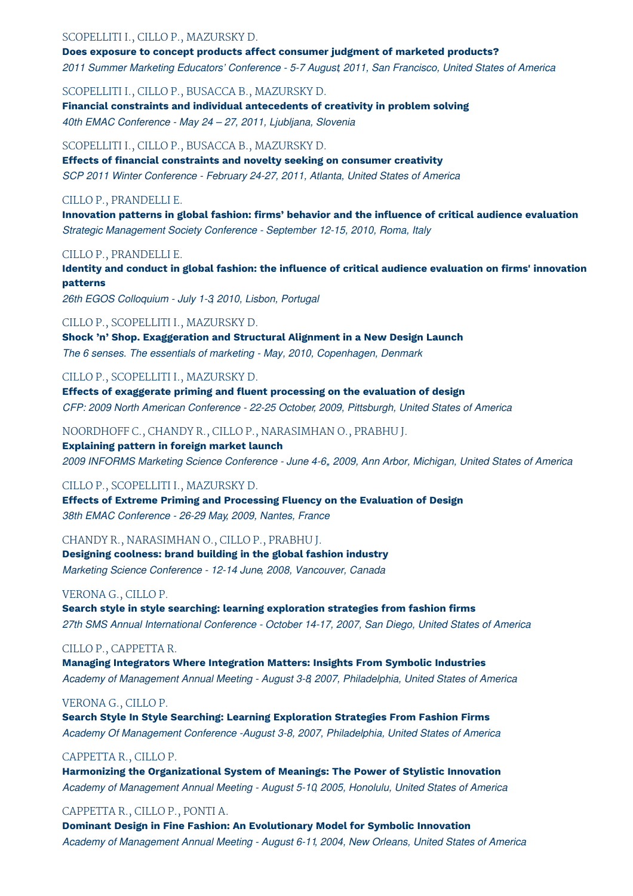## SCOPELLITI I., CILLO P., MAZURSKY D.

**Does exposure to concept products affect consumer judgment of marketed products?** *2011 Summer Marketing Educators' Conference - 5-7 August, 2011, San Francisco, United States of America*

SCOPELLITI I., CILLO P., BUSACCA B., MAZURSKY D. **Financial constraints and individual antecedents of creativity in problem solving** *40th EMAC Conference - May 24 – 27, 2011, Ljubljana, Slovenia*

#### SCOPELLITI I., CILLO P., BUSACCA B., MAZURSKY D.

**Effects of financial constraints and novelty seeking on consumer creativity** *SCP 2011 Winter Conference - February 24-27, 2011, Atlanta, United States of America*

#### CILLO P., PRANDELLI E.

**Innovation patterns in global fashion: firms' behavior and the influence of critical audience evaluation** *Strategic Management Society Conference - September 12-15, 2010, Roma, Italy*

# CILLO P., PRANDELLI E.

**Identity and conduct in global fashion: the influence of critical audience evaluation on firms' innovation patterns**

*26th EGOS Colloquium - July 1-3, 2010, Lisbon, Portugal*

#### CILLO P., SCOPELLITI I., MAZURSKY D.

**Shock 'n' Shop. Exaggeration and Structural Alignment in a New Design Launch** *The 6 senses. The essentials of marketing - May, 2010, Copenhagen, Denmark*

#### CILLO P., SCOPELLITI I., MAZURSKY D.

**Effects of exaggerate priming and fluent processing on the evaluation of design** *CFP: 2009 North American Conference - 22-25 October, 2009, Pittsburgh, United States of America*

#### NOORDHOFF C., CHANDY R., CILLO P., NARASIMHAN O., PRABHU J.

**Explaining pattern in foreign market launch** *2009 INFORMS Marketing Science Conference - June 4-6,, 2009, Ann Arbor, Michigan, United States of America*

#### CILLO P., SCOPELLITI I., MAZURSKY D.

**Effects of Extreme Priming and Processing Fluency on the Evaluation of Design** *38th EMAC Conference - 26-29 May, 2009, Nantes, France*

#### CHANDY R., NARASIMHAN O., CILLO P., PRABHU J.

**Designing coolness: brand building in the global fashion industry** *Marketing Science Conference - 12-14 June, 2008, Vancouver, Canada*

#### VERONA G., CILLO P.

**Search style in style searching: learning exploration strategies from fashion firms** *27th SMS Annual International Conference - October 14-17, 2007, San Diego, United States of America*

#### CILLO P., CAPPETTA R.

**Managing Integrators Where Integration Matters: Insights From Symbolic Industries** *Academy of Management Annual Meeting - August 3-8, 2007, Philadelphia, United States of America*

#### VERONA G., CILLO P.

**Search Style In Style Searching: Learning Exploration Strategies From Fashion Firms** *Academy Of Management Conference -August 3-8, 2007, Philadelphia, United States of America*

#### CAPPETTA R., CILLO P.

**Harmonizing the Organizational System of Meanings: The Power of Stylistic Innovation** *Academy of Management Annual Meeting - August 5-10, 2005, Honolulu, United States of America*

#### CAPPETTA R., CILLO P., PONTI A.

**Dominant Design in Fine Fashion: An Evolutionary Model for Symbolic Innovation** *Academy of Management Annual Meeting - August 6-11, 2004, New Orleans, United States of America*